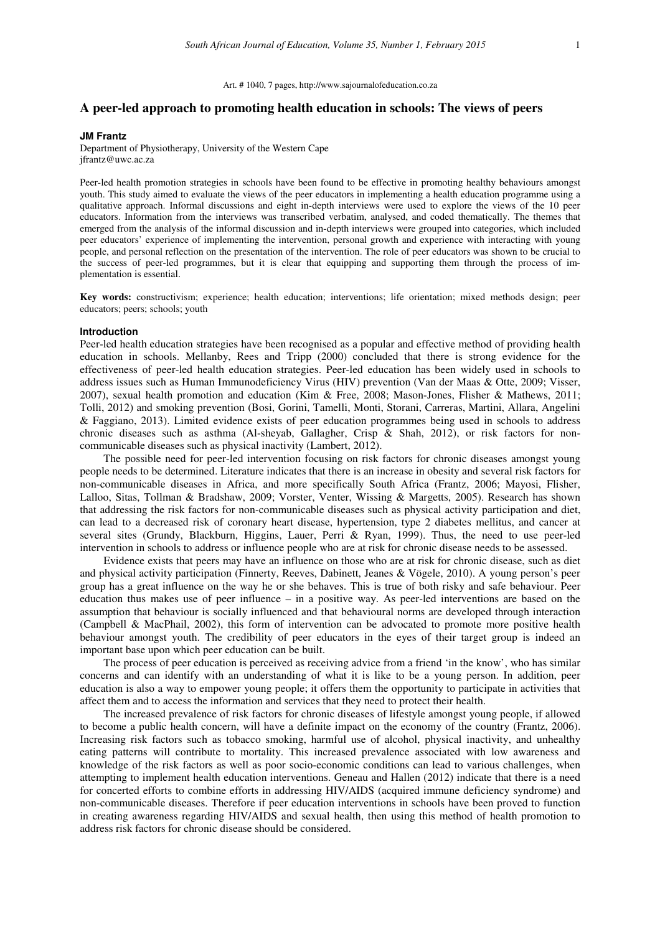# Art. # 1040, 7 pages, http://www.sajournalofeducation.co.za

# **A peer-led approach to promoting health education in schools: The views of peers**

#### **JM Frantz**

Department of Physiotherapy, University of the Western Cape jfrantz@uwc.ac.za

Peer-led health promotion strategies in schools have been found to be effective in promoting healthy behaviours amongst youth. This study aimed to evaluate the views of the peer educators in implementing a health education programme using a qualitative approach. Informal discussions and eight in-depth interviews were used to explore the views of the 10 peer educators. Information from the interviews was transcribed verbatim, analysed, and coded thematically. The themes that emerged from the analysis of the informal discussion and in-depth interviews were grouped into categories, which included peer educators' experience of implementing the intervention, personal growth and experience with interacting with young people, and personal reflection on the presentation of the intervention. The role of peer educators was shown to be crucial to the success of peer-led programmes, but it is clear that equipping and supporting them through the process of implementation is essential.

**Key words:** constructivism; experience; health education; interventions; life orientation; mixed methods design; peer educators; peers; schools; youth

# **Introduction**

Peer-led health education strategies have been recognised as a popular and effective method of providing health education in schools. Mellanby, Rees and Tripp (2000) concluded that there is strong evidence for the effectiveness of peer-led health education strategies. Peer-led education has been widely used in schools to address issues such as Human Immunodeficiency Virus (HIV) prevention (Van der Maas & Otte, 2009; Visser, 2007), sexual health promotion and education (Kim & Free, 2008; Mason-Jones, Flisher & Mathews, 2011; Tolli, 2012) and smoking prevention (Bosi, Gorini, Tamelli, Monti, Storani, Carreras, Martini, Allara, Angelini & Faggiano, 2013). Limited evidence exists of peer education programmes being used in schools to address chronic diseases such as asthma (Al-sheyab, Gallagher, Crisp & Shah, 2012), or risk factors for noncommunicable diseases such as physical inactivity (Lambert, 2012).

The possible need for peer-led intervention focusing on risk factors for chronic diseases amongst young people needs to be determined. Literature indicates that there is an increase in obesity and several risk factors for non-communicable diseases in Africa, and more specifically South Africa (Frantz, 2006; Mayosi, Flisher, Lalloo, Sitas, Tollman & Bradshaw, 2009; Vorster, Venter, Wissing & Margetts, 2005). Research has shown that addressing the risk factors for non-communicable diseases such as physical activity participation and diet, can lead to a decreased risk of coronary heart disease, hypertension, type 2 diabetes mellitus, and cancer at several sites (Grundy, Blackburn, Higgins, Lauer, Perri & Ryan, 1999). Thus, the need to use peer-led intervention in schools to address or influence people who are at risk for chronic disease needs to be assessed.

Evidence exists that peers may have an influence on those who are at risk for chronic disease, such as diet and physical activity participation (Finnerty, Reeves, Dabinett, Jeanes & Vögele, 2010). A young person's peer group has a great influence on the way he or she behaves. This is true of both risky and safe behaviour. Peer education thus makes use of peer influence – in a positive way. As peer-led interventions are based on the assumption that behaviour is socially influenced and that behavioural norms are developed through interaction (Campbell & MacPhail, 2002), this form of intervention can be advocated to promote more positive health behaviour amongst youth. The credibility of peer educators in the eyes of their target group is indeed an important base upon which peer education can be built.

The process of peer education is perceived as receiving advice from a friend 'in the know', who has similar concerns and can identify with an understanding of what it is like to be a young person. In addition, peer education is also a way to empower young people; it offers them the opportunity to participate in activities that affect them and to access the information and services that they need to protect their health.

The increased prevalence of risk factors for chronic diseases of lifestyle amongst young people, if allowed to become a public health concern, will have a definite impact on the economy of the country (Frantz, 2006). Increasing risk factors such as tobacco smoking, harmful use of alcohol, physical inactivity, and unhealthy eating patterns will contribute to mortality. This increased prevalence associated with low awareness and knowledge of the risk factors as well as poor socio-economic conditions can lead to various challenges, when attempting to implement health education interventions. Geneau and Hallen (2012) indicate that there is a need for concerted efforts to combine efforts in addressing HIV/AIDS (acquired immune deficiency syndrome) and non-communicable diseases. Therefore if peer education interventions in schools have been proved to function in creating awareness regarding HIV/AIDS and sexual health, then using this method of health promotion to address risk factors for chronic disease should be considered.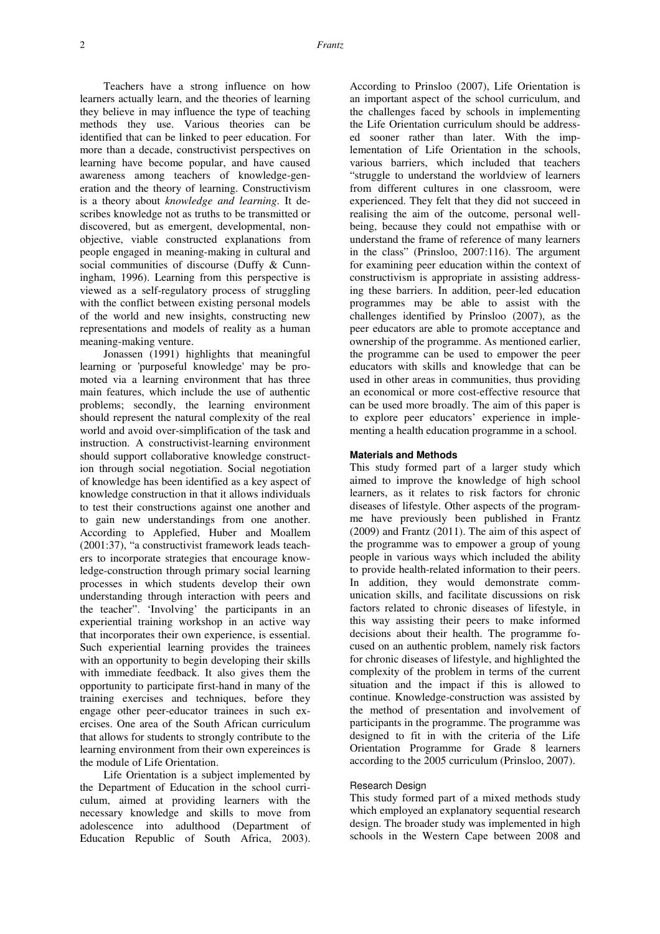Teachers have a strong influence on how learners actually learn, and the theories of learning they believe in may influence the type of teaching methods they use. Various theories can be identified that can be linked to peer education. For more than a decade, constructivist perspectives on learning have become popular, and have caused awareness among teachers of knowledge-generation and the theory of learning. Constructivism is a theory about *knowledge and learning*. It describes knowledge not as truths to be transmitted or discovered, but as emergent, developmental, nonobjective, viable constructed explanations from people engaged in meaning-making in cultural and social communities of discourse (Duffy & Cunningham, 1996). Learning from this perspective is viewed as a self-regulatory process of struggling with the conflict between existing personal models of the world and new insights, constructing new representations and models of reality as a human meaning-making venture.

Jonassen (1991) highlights that meaningful learning or 'purposeful knowledge' may be promoted via a learning environment that has three main features, which include the use of authentic problems; secondly, the learning environment should represent the natural complexity of the real world and avoid over-simplification of the task and instruction. A constructivist-learning environment should support collaborative knowledge construction through social negotiation. Social negotiation of knowledge has been identified as a key aspect of knowledge construction in that it allows individuals to test their constructions against one another and to gain new understandings from one another. According to Applefied, Huber and Moallem (2001:37), "a constructivist framework leads teachers to incorporate strategies that encourage knowledge-construction through primary social learning processes in which students develop their own understanding through interaction with peers and the teacher". 'Involving' the participants in an experiential training workshop in an active way that incorporates their own experience, is essential. Such experiential learning provides the trainees with an opportunity to begin developing their skills with immediate feedback. It also gives them the opportunity to participate first-hand in many of the training exercises and techniques, before they engage other peer-educator trainees in such exercises. One area of the South African curriculum that allows for students to strongly contribute to the learning environment from their own expereinces is the module of Life Orientation.

Life Orientation is a subject implemented by the Department of Education in the school curriculum, aimed at providing learners with the necessary knowledge and skills to move from adolescence into adulthood (Department of Education Republic of South Africa, 2003).

According to Prinsloo (2007), Life Orientation is an important aspect of the school curriculum, and the challenges faced by schools in implementing the Life Orientation curriculum should be addressed sooner rather than later. With the implementation of Life Orientation in the schools, various barriers, which included that teachers "struggle to understand the worldview of learners from different cultures in one classroom, were experienced. They felt that they did not succeed in realising the aim of the outcome, personal wellbeing, because they could not empathise with or understand the frame of reference of many learners in the class" (Prinsloo, 2007:116). The argument for examining peer education within the context of constructivism is appropriate in assisting addressing these barriers. In addition, peer-led education programmes may be able to assist with the challenges identified by Prinsloo (2007), as the peer educators are able to promote acceptance and ownership of the programme. As mentioned earlier, the programme can be used to empower the peer educators with skills and knowledge that can be used in other areas in communities, thus providing an economical or more cost-effective resource that can be used more broadly. The aim of this paper is to explore peer educators' experience in implementing a health education programme in a school.

# **Materials and Methods**

This study formed part of a larger study which aimed to improve the knowledge of high school learners, as it relates to risk factors for chronic diseases of lifestyle. Other aspects of the programme have previously been published in Frantz (2009) and Frantz (2011). The aim of this aspect of the programme was to empower a group of young people in various ways which included the ability to provide health-related information to their peers. In addition, they would demonstrate communication skills, and facilitate discussions on risk factors related to chronic diseases of lifestyle, in this way assisting their peers to make informed decisions about their health. The programme focused on an authentic problem, namely risk factors for chronic diseases of lifestyle, and highlighted the complexity of the problem in terms of the current situation and the impact if this is allowed to continue. Knowledge-construction was assisted by the method of presentation and involvement of participants in the programme. The programme was designed to fit in with the criteria of the Life Orientation Programme for Grade 8 learners according to the 2005 curriculum (Prinsloo, 2007).

# Research Design

This study formed part of a mixed methods study which employed an explanatory sequential research design. The broader study was implemented in high schools in the Western Cape between 2008 and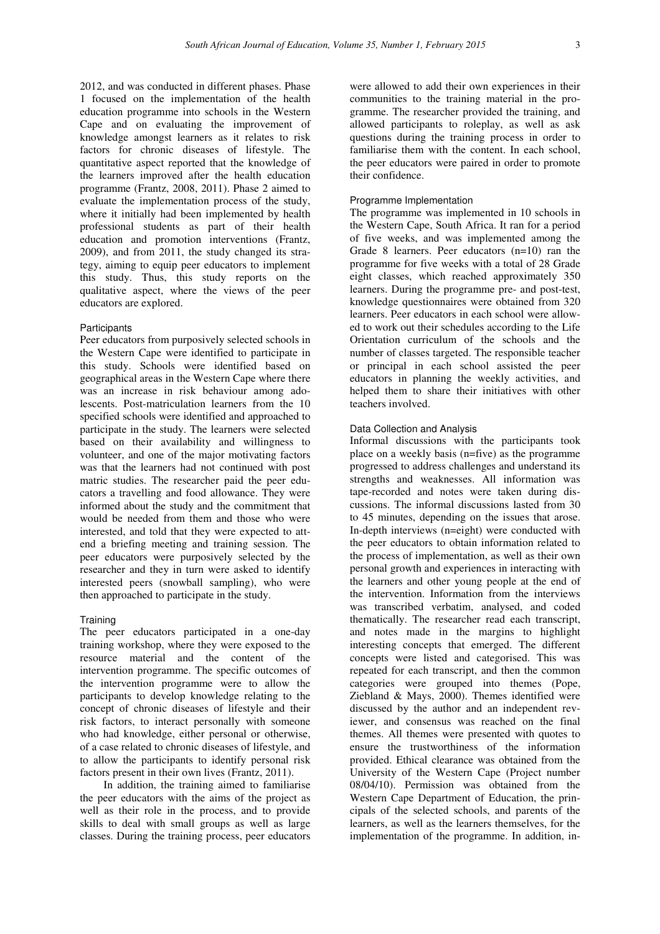2012, and was conducted in different phases. Phase 1 focused on the implementation of the health education programme into schools in the Western Cape and on evaluating the improvement of knowledge amongst learners as it relates to risk factors for chronic diseases of lifestyle. The quantitative aspect reported that the knowledge of the learners improved after the health education programme (Frantz, 2008, 2011). Phase 2 aimed to evaluate the implementation process of the study, where it initially had been implemented by health professional students as part of their health education and promotion interventions (Frantz, 2009), and from 2011, the study changed its strategy, aiming to equip peer educators to implement this study. Thus, this study reports on the qualitative aspect, where the views of the peer educators are explored.

# **Participants**

Peer educators from purposively selected schools in the Western Cape were identified to participate in this study. Schools were identified based on geographical areas in the Western Cape where there was an increase in risk behaviour among adolescents. Post-matriculation learners from the 10 specified schools were identified and approached to participate in the study. The learners were selected based on their availability and willingness to volunteer, and one of the major motivating factors was that the learners had not continued with post matric studies. The researcher paid the peer educators a travelling and food allowance. They were informed about the study and the commitment that would be needed from them and those who were interested, and told that they were expected to attend a briefing meeting and training session. The peer educators were purposively selected by the researcher and they in turn were asked to identify interested peers (snowball sampling), who were then approached to participate in the study.

# **Training**

The peer educators participated in a one-day training workshop, where they were exposed to the resource material and the content of the intervention programme. The specific outcomes of the intervention programme were to allow the participants to develop knowledge relating to the concept of chronic diseases of lifestyle and their risk factors, to interact personally with someone who had knowledge, either personal or otherwise, of a case related to chronic diseases of lifestyle, and to allow the participants to identify personal risk factors present in their own lives (Frantz, 2011).

In addition, the training aimed to familiarise the peer educators with the aims of the project as well as their role in the process, and to provide skills to deal with small groups as well as large classes. During the training process, peer educators

were allowed to add their own experiences in their communities to the training material in the programme. The researcher provided the training, and allowed participants to roleplay, as well as ask questions during the training process in order to familiarise them with the content. In each school, the peer educators were paired in order to promote their confidence.

# Programme Implementation

The programme was implemented in 10 schools in the Western Cape, South Africa. It ran for a period of five weeks, and was implemented among the Grade 8 learners. Peer educators (n=10) ran the programme for five weeks with a total of 28 Grade eight classes, which reached approximately 350 learners. During the programme pre- and post-test, knowledge questionnaires were obtained from 320 learners. Peer educators in each school were allowed to work out their schedules according to the Life Orientation curriculum of the schools and the number of classes targeted. The responsible teacher or principal in each school assisted the peer educators in planning the weekly activities, and helped them to share their initiatives with other teachers involved.

## Data Collection and Analysis

Informal discussions with the participants took place on a weekly basis (n=five) as the programme progressed to address challenges and understand its strengths and weaknesses. All information was tape-recorded and notes were taken during discussions. The informal discussions lasted from 30 to 45 minutes, depending on the issues that arose. In-depth interviews (n=eight) were conducted with the peer educators to obtain information related to the process of implementation, as well as their own personal growth and experiences in interacting with the learners and other young people at the end of the intervention. Information from the interviews was transcribed verbatim, analysed, and coded thematically. The researcher read each transcript, and notes made in the margins to highlight interesting concepts that emerged. The different concepts were listed and categorised. This was repeated for each transcript, and then the common categories were grouped into themes (Pope, Ziebland & Mays, 2000). Themes identified were discussed by the author and an independent reviewer, and consensus was reached on the final themes. All themes were presented with quotes to ensure the trustworthiness of the information provided. Ethical clearance was obtained from the University of the Western Cape (Project number 08/04/10). Permission was obtained from the Western Cape Department of Education, the principals of the selected schools, and parents of the learners, as well as the learners themselves, for the implementation of the programme. In addition, in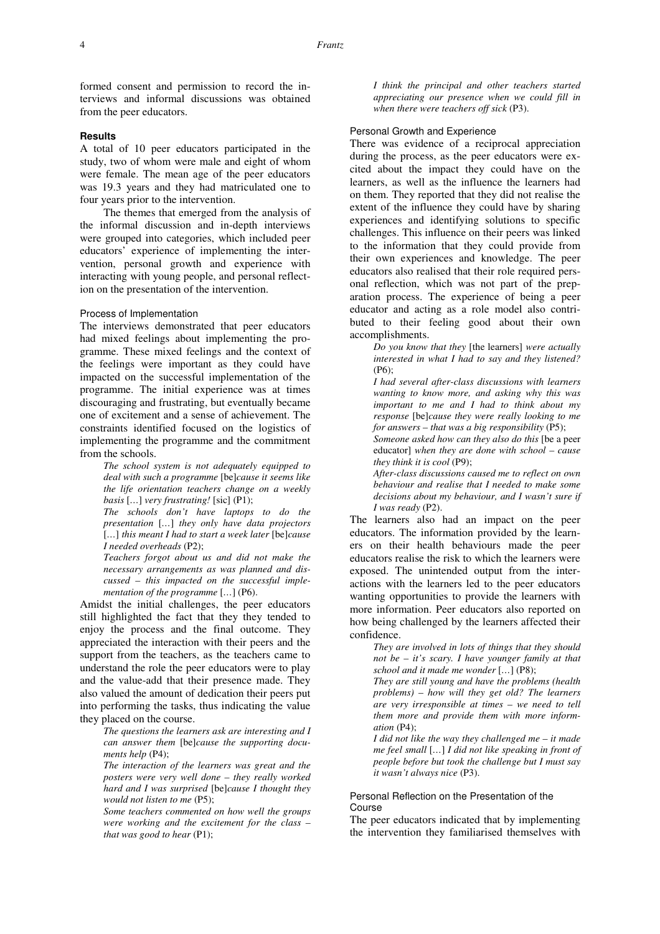formed consent and permission to record the interviews and informal discussions was obtained from the peer educators.

### **Results**

A total of 10 peer educators participated in the study, two of whom were male and eight of whom were female. The mean age of the peer educators was 19.3 years and they had matriculated one to four years prior to the intervention.

The themes that emerged from the analysis of the informal discussion and in-depth interviews were grouped into categories, which included peer educators' experience of implementing the intervention, personal growth and experience with interacting with young people, and personal reflection on the presentation of the intervention.

### Process of Implementation

The interviews demonstrated that peer educators had mixed feelings about implementing the programme. These mixed feelings and the context of the feelings were important as they could have impacted on the successful implementation of the programme. The initial experience was at times discouraging and frustrating, but eventually became one of excitement and a sense of achievement. The constraints identified focused on the logistics of implementing the programme and the commitment from the schools.

> *The school system is not adequately equipped to deal with such a programme* [be]*cause it seems like the life orientation teachers change on a weekly basis* [*…*] *very frustrating!* [sic] (P1);

> *The schools don't have laptops to do the presentation* [*…*] *they only have data projectors*  [*…*] *this meant I had to start a week later* [be]*cause I needed overheads* (P2);

> *Teachers forgot about us and did not make the necessary arrangements as was planned and discussed – this impacted on the successful implementation of the programme* [*…*] (P6).

Amidst the initial challenges, the peer educators still highlighted the fact that they they tended to enjoy the process and the final outcome. They appreciated the interaction with their peers and the support from the teachers, as the teachers came to understand the role the peer educators were to play and the value-add that their presence made. They also valued the amount of dedication their peers put into performing the tasks, thus indicating the value they placed on the course.

*The questions the learners ask are interesting and I can answer them* [be]*cause the supporting documents help* (P4);

*The interaction of the learners was great and the posters were very well done – they really worked hard and I was surprised* [be]*cause I thought they would not listen to me* (P5);

*Some teachers commented on how well the groups were working and the excitement for the class – that was good to hear* (P1);

*I think the principal and other teachers started appreciating our presence when we could fill in when there were teachers off sick* (P3).

# Personal Growth and Experience

There was evidence of a reciprocal appreciation during the process, as the peer educators were excited about the impact they could have on the learners, as well as the influence the learners had on them. They reported that they did not realise the extent of the influence they could have by sharing experiences and identifying solutions to specific challenges. This influence on their peers was linked to the information that they could provide from their own experiences and knowledge. The peer educators also realised that their role required personal reflection, which was not part of the preparation process. The experience of being a peer educator and acting as a role model also contributed to their feeling good about their own accomplishments.

*Do you know that they* [the learners] *were actually interested in what I had to say and they listened?*  (P6);

*I had several after-class discussions with learners wanting to know more, and asking why this was important to me and I had to think about my response* [be]*cause they were really looking to me for answers – that was a big responsibility* (P5);

*Someone asked how can they also do this* [be a peer educator] *when they are done with school – cause they think it is cool* (P9);

*After-class discussions caused me to reflect on own behaviour and realise that I needed to make some decisions about my behaviour, and I wasn't sure if I was ready* (P2).

The learners also had an impact on the peer educators. The information provided by the learners on their health behaviours made the peer educators realise the risk to which the learners were exposed. The unintended output from the interactions with the learners led to the peer educators wanting opportunities to provide the learners with more information. Peer educators also reported on how being challenged by the learners affected their confidence.

*They are involved in lots of things that they should not be – it's scary. I have younger family at that school and it made me wonder* [*…*] (P8);

*They are still young and have the problems (health problems) – how will they get old? The learners are very irresponsible at times – we need to tell them more and provide them with more information* (P4);

*I did not like the way they challenged me – it made me feel small* [*…*] *I did not like speaking in front of people before but took the challenge but I must say it wasn't always nice* (P3).

# Personal Reflection on the Presentation of the Course

The peer educators indicated that by implementing the intervention they familiarised themselves with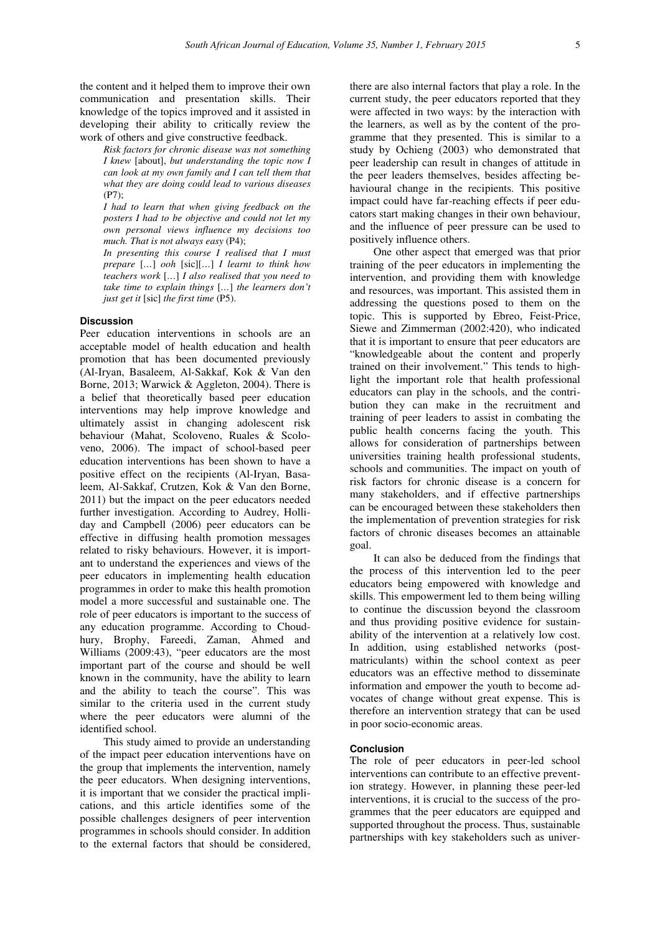the content and it helped them to improve their own communication and presentation skills. Their knowledge of the topics improved and it assisted in developing their ability to critically review the work of others and give constructive feedback.

> *Risk factors for chronic disease was not something I knew* [about], *but understanding the topic now I can look at my own family and I can tell them that what they are doing could lead to various diseases*  (P7);

> *I had to learn that when giving feedback on the posters I had to be objective and could not let my own personal views influence my decisions too much. That is not always easy* (P4);

> *In presenting this course I realised that I must prepare* [*…*] *ooh* [sic][*…*] *I learnt to think how teachers work* [*…*] *I also realised that you need to take time to explain things* [*…*] *the learners don't just get it* [sic] *the first time* (P5).

## **Discussion**

Peer education interventions in schools are an acceptable model of health education and health promotion that has been documented previously (Al-Iryan, Basaleem, Al-Sakkaf, Kok & Van den Borne, 2013; Warwick & Aggleton, 2004). There is a belief that theoretically based peer education interventions may help improve knowledge and ultimately assist in changing adolescent risk behaviour (Mahat, Scoloveno, Ruales & Scoloveno, 2006). The impact of school-based peer education interventions has been shown to have a positive effect on the recipients (Al-Iryan, Basaleem, Al-Sakkaf, Crutzen, Kok & Van den Borne, 2011) but the impact on the peer educators needed further investigation. According to Audrey, Holliday and Campbell (2006) peer educators can be effective in diffusing health promotion messages related to risky behaviours. However, it is important to understand the experiences and views of the peer educators in implementing health education programmes in order to make this health promotion model a more successful and sustainable one. The role of peer educators is important to the success of any education programme. According to Choudhury, Brophy, Fareedi, Zaman, Ahmed and Williams (2009:43), "peer educators are the most important part of the course and should be well known in the community, have the ability to learn and the ability to teach the course". This was similar to the criteria used in the current study where the peer educators were alumni of the identified school.

This study aimed to provide an understanding of the impact peer education interventions have on the group that implements the intervention, namely the peer educators. When designing interventions, it is important that we consider the practical implications, and this article identifies some of the possible challenges designers of peer intervention programmes in schools should consider. In addition to the external factors that should be considered,

there are also internal factors that play a role. In the current study, the peer educators reported that they were affected in two ways: by the interaction with the learners, as well as by the content of the programme that they presented. This is similar to a study by Ochieng (2003) who demonstrated that peer leadership can result in changes of attitude in the peer leaders themselves, besides affecting behavioural change in the recipients. This positive impact could have far-reaching effects if peer educators start making changes in their own behaviour, and the influence of peer pressure can be used to positively influence others.

One other aspect that emerged was that prior training of the peer educators in implementing the intervention, and providing them with knowledge and resources, was important. This assisted them in addressing the questions posed to them on the topic. This is supported by Ebreo, Feist-Price, Siewe and Zimmerman (2002:420), who indicated that it is important to ensure that peer educators are "knowledgeable about the content and properly trained on their involvement." This tends to highlight the important role that health professional educators can play in the schools, and the contribution they can make in the recruitment and training of peer leaders to assist in combating the public health concerns facing the youth. This allows for consideration of partnerships between universities training health professional students, schools and communities. The impact on youth of risk factors for chronic disease is a concern for many stakeholders, and if effective partnerships can be encouraged between these stakeholders then the implementation of prevention strategies for risk factors of chronic diseases becomes an attainable goal.

It can also be deduced from the findings that the process of this intervention led to the peer educators being empowered with knowledge and skills. This empowerment led to them being willing to continue the discussion beyond the classroom and thus providing positive evidence for sustainability of the intervention at a relatively low cost. In addition, using established networks (postmatriculants) within the school context as peer educators was an effective method to disseminate information and empower the youth to become advocates of change without great expense. This is therefore an intervention strategy that can be used in poor socio-economic areas.

# **Conclusion**

The role of peer educators in peer-led school interventions can contribute to an effective prevention strategy. However, in planning these peer-led interventions, it is crucial to the success of the programmes that the peer educators are equipped and supported throughout the process. Thus, sustainable partnerships with key stakeholders such as univer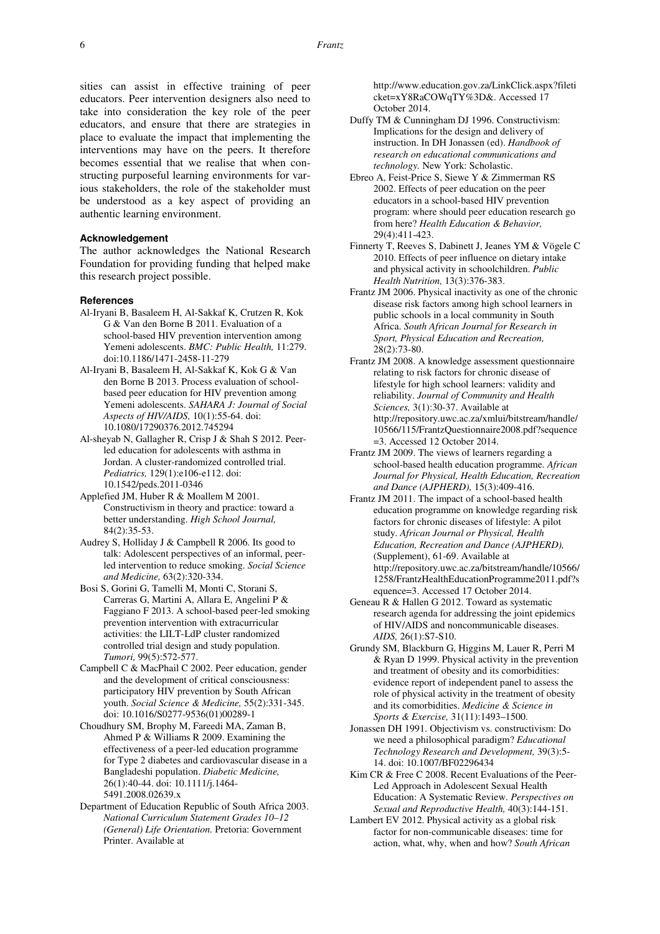sities can assist in effective training of peer educators. Peer intervention designers also need to take into consideration the key role of the peer educators, and ensure that there are strategies in place to evaluate the impact that implementing the interventions may have on the peers. It therefore becomes essential that we realise that when constructing purposeful learning environments for various stakeholders, the role of the stakeholder must be understood as a key aspect of providing an authentic learning environment.

### **Acknowledgement**

The author acknowledges the National Research Foundation for providing funding that helped make this research project possible.

### **References**

- Al-Iryani B, Basaleem H, Al-Sakkaf K, Crutzen R, Kok G & Van den Borne B 2011. Evaluation of a school-based HIV prevention intervention among Yemeni adolescents. *BMC: Public Health,* 11:279. doi:10.1186/1471-2458-11-279
- Al-Iryani B, Basaleem H, Al-Sakkaf K, Kok G & Van den Borne B 2013. Process evaluation of schoolbased peer education for HIV prevention among Yemeni adolescents. *SAHARA J: Journal of Social Aspects of HIV/AIDS,* 10(1):55-64. doi: 10.1080/17290376.2012.745294
- Al-sheyab N, Gallagher R, Crisp J & Shah S 2012. Peerled education for adolescents with asthma in Jordan. A cluster-randomized controlled trial. *Pediatrics,* 129(1):e106-e112. doi: 10.1542/peds.2011-0346
- Applefied JM, Huber R & Moallem M 2001. Constructivism in theory and practice: toward a better understanding. *High School Journal,* 84(2):35-53.
- Audrey S, Holliday J & Campbell R 2006. Its good to talk: Adolescent perspectives of an informal, peerled intervention to reduce smoking. *Social Science and Medicine,* 63(2):320-334.
- Bosi S, Gorini G, Tamelli M, Monti C, Storani S, Carreras G, Martini A, Allara E, Angelini P & Faggiano F 2013. A school-based peer-led smoking prevention intervention with extracurricular activities: the LILT-LdP cluster randomized controlled trial design and study population. *Tumori,* 99(5):572-577.
- Campbell C & MacPhail C 2002. Peer education, gender and the development of critical consciousness: participatory HIV prevention by South African youth. *Social Science & Medicine,* 55(2):331-345. doi: 10.1016/S0277-9536(01)00289-1
- Choudhury SM, Brophy M, Fareedi MA, Zaman B, Ahmed P & Williams R 2009. Examining the effectiveness of a peer-led education programme for Type 2 diabetes and cardiovascular disease in a Bangladeshi population. *Diabetic Medicine,* 26(1):40-44. doi: 10.1111/j.1464- 5491.2008.02639.x
- Department of Education Republic of South Africa 2003. *National Curriculum Statement Grades 10–12 (General) Life Orientation.* Pretoria: Government Printer. Available at

http://www.education.gov.za/LinkClick.aspx?fileti cket=xY8RaCOWqTY%3D&. Accessed 17 October 2014.

- Duffy TM & Cunningham DJ 1996. Constructivism: Implications for the design and delivery of instruction. In DH Jonassen (ed). *Handbook of research on educational communications and technology.* New York: Scholastic.
- Ebreo A, Feist-Price S, Siewe Y & Zimmerman RS 2002. Effects of peer education on the peer educators in a school-based HIV prevention program: where should peer education research go from here? *Health Education & Behavior,*  29(4):411-423.
- Finnerty T, Reeves S, Dabinett J, Jeanes YM & Vögele C 2010. Effects of peer influence on dietary intake and physical activity in schoolchildren. *Public Health Nutrition,* 13(3):376-383.
- Frantz JM 2006. Physical inactivity as one of the chronic disease risk factors among high school learners in public schools in a local community in South Africa. *South African Journal for Research in Sport, Physical Education and Recreation,*  28(2):73-80.
- Frantz JM 2008. A knowledge assessment questionnaire relating to risk factors for chronic disease of lifestyle for high school learners: validity and reliability. *Journal of Community and Health Sciences,* 3(1):30-37. Available at http://repository.uwc.ac.za/xmlui/bitstream/handle/ 10566/115/FrantzQuestionnaire2008.pdf?sequence =3. Accessed 12 October 2014.
- Frantz JM 2009. The views of learners regarding a school-based health education programme. *African Journal for Physical, Health Education, Recreation and Dance (AJPHERD),* 15(3):409-416.
- Frantz JM 2011. The impact of a school-based health education programme on knowledge regarding risk factors for chronic diseases of lifestyle: A pilot study. *African Journal or Physical, Health Education, Recreation and Dance (AJPHERD),*  (Supplement), 61-69. Available at http://repository.uwc.ac.za/bitstream/handle/10566/ 1258/FrantzHealthEducationProgramme2011.pdf?s equence=3. Accessed 17 October 2014.
- Geneau R & Hallen G 2012. Toward as systematic research agenda for addressing the joint epidemics of HIV/AIDS and noncommunicable diseases. *AIDS,* 26(1):S7-S10.
- Grundy SM, Blackburn G, Higgins M, Lauer R, Perri M & Ryan D 1999. Physical activity in the prevention and treatment of obesity and its comorbidities: evidence report of independent panel to assess the role of physical activity in the treatment of obesity and its comorbidities. *Medicine & Science in Sports & Exercise,* 31(11):1493–1500.
- Jonassen DH 1991. Objectivism vs. constructivism: Do we need a philosophical paradigm? *Educational Technology Research and Development,* 39(3):5- 14. doi: 10.1007/BF02296434
- Kim CR & Free C 2008. Recent Evaluations of the Peer-Led Approach in Adolescent Sexual Health Education: A Systematic Review. *Perspectives on Sexual and Reproductive Health,* 40(3):144-151.
- Lambert EV 2012. Physical activity as a global risk factor for non-communicable diseases: time for action, what, why, when and how? *South African*